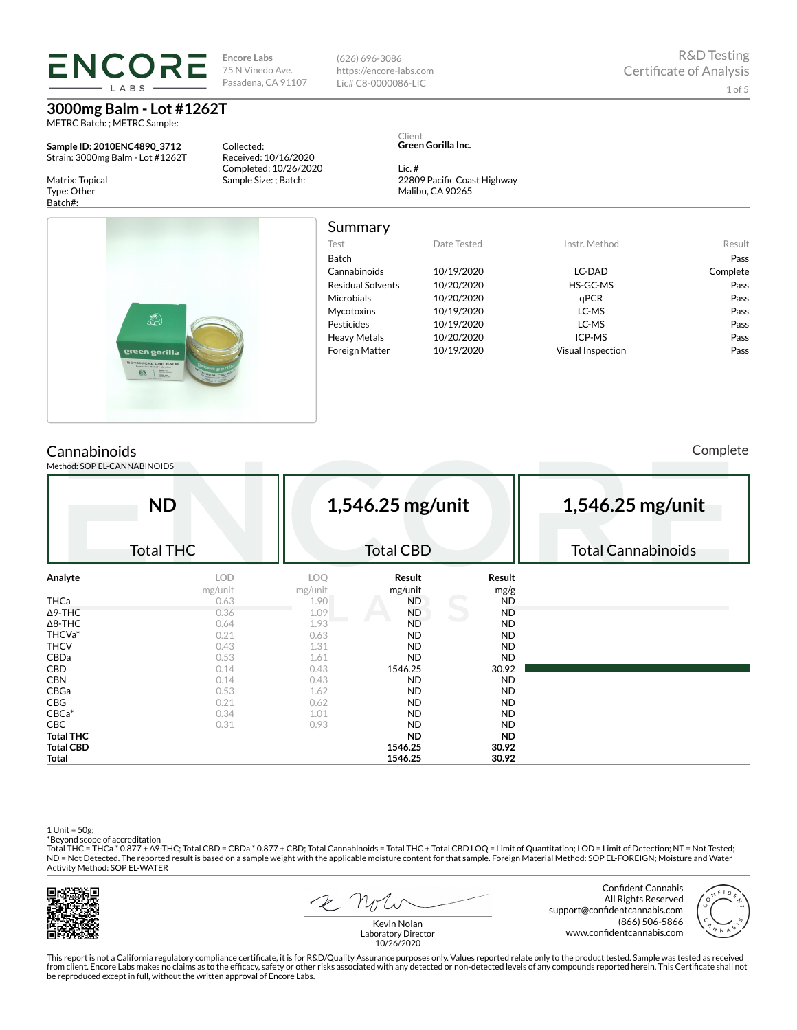# **ENCORE** LABS

**Encore Labs** 75 N Vinedo Ave. Pasadena, CA 91107

Received: 10/16/2020 Completed: 10/26/2020 Sample Size: ; Batch:

Collected:

**3000mg Balm - Lot #1262T**

METRC Batch: ; METRC Sample:

**Sample ID: 2010ENC4890\_3712** Strain: 3000mg Balm - Lot #1262T

Matrix: Topical Type: Other Batch#:



(626) 696-3086 https://encore-labs.com Lic# C8-0000086-LIC

Client **Green Gorilla Inc.**

Lic. # 22809 Pacific Coast Highway Malibu, CA 90265

| Date Tested | Instr. Method            |          |
|-------------|--------------------------|----------|
|             |                          | Result   |
|             |                          | Pass     |
| 10/19/2020  | LC-DAD                   | Complete |
| 10/20/2020  | HS-GC-MS                 | Pass     |
| 10/20/2020  | aPCR                     | Pass     |
| 10/19/2020  | LC-MS                    | Pass     |
| 10/19/2020  | LC-MS                    | Pass     |
| 10/20/2020  | ICP-MS                   | Pass     |
| 10/19/2020  | <b>Visual Inspection</b> | Pass     |
|             |                          |          |

## **Cannabinoids**

Method: SOP EL-CANNABINOIDS

Complete

| <b>ND</b>        |                  | 1,546.25 mg/unit |                  |           | $1,546.25$ mg/unit        |  |
|------------------|------------------|------------------|------------------|-----------|---------------------------|--|
|                  | <b>Total THC</b> |                  | <b>Total CBD</b> |           | <b>Total Cannabinoids</b> |  |
| Analyte          | <b>LOD</b>       | <b>LOO</b>       | Result           | Result    |                           |  |
|                  | mg/unit          | mg/unit          | mg/unit          | mg/g      |                           |  |
| <b>THCa</b>      | 0.63             | 1.90             | <b>ND</b>        | <b>ND</b> |                           |  |
| $\Delta$ 9-THC   | 0.36             | 1.09             | <b>ND</b>        | <b>ND</b> |                           |  |
| $\Delta$ 8-THC   | 0.64             | 1.93             | <b>ND</b>        | <b>ND</b> |                           |  |
| THCVa*           | 0.21             | 0.63             | ND               | <b>ND</b> |                           |  |
| <b>THCV</b>      | 0.43             | 1.31             | <b>ND</b>        | <b>ND</b> |                           |  |
| CBDa             | 0.53             | 1.61             | <b>ND</b>        | <b>ND</b> |                           |  |
| CBD              | 0.14             | 0.43             | 1546.25          | 30.92     |                           |  |
| <b>CBN</b>       | 0.14             | 0.43             | <b>ND</b>        | <b>ND</b> |                           |  |
| CBGa             | 0.53             | 1.62             | <b>ND</b>        | <b>ND</b> |                           |  |
| CBG              | 0.21             | 0.62             | ND               | <b>ND</b> |                           |  |
| $CBCa*$          | 0.34             | 1.01             | <b>ND</b>        | <b>ND</b> |                           |  |
| <b>CBC</b>       | 0.31             | 0.93             | <b>ND</b>        | <b>ND</b> |                           |  |
| <b>Total THC</b> |                  |                  | <b>ND</b>        | <b>ND</b> |                           |  |
| <b>Total CBD</b> |                  |                  | 1546.25          | 30.92     |                           |  |
| Total            |                  |                  | 1546.25          | 30.92     |                           |  |

1 Unit = 50g;

\*Beyond scope of accreditation<br>Total THC = THCa \* 0.877 + ∆9-THC; Total CBD = CBDa \* 0.877 + CBD; Total Cannabinoids = Total THC + Total CBD LOQ = Limit of Quantitation; LOD = Limit of Detection; NT = Not Tested; ND = Not Detected. The reported result is based on a sample weight with the applicable moisture content for that sample. Foreign Material Method: SOP EL-FOREIGN; Moisture and Water Activity Method: SOP EL-WATER



2 Note

Confident Cannabis All Rights Reserved support@confidentcannabis.com (866) 506-5866 www.confidentcannabis.com



Kevin Nolan Laboratory Director 10/26/2020

This report is not a California regulatory compliance certificate, it is for R&D/Quality Assurance purposes only. Values reported relate only to the product tested. Sample was tested as received from client. Encore Labs makes no claims as to the efficacy, safety or other risks associated with any detected or non-detected levels of any compounds reported herein. This Certificate shall not<br>be reproduced except in fu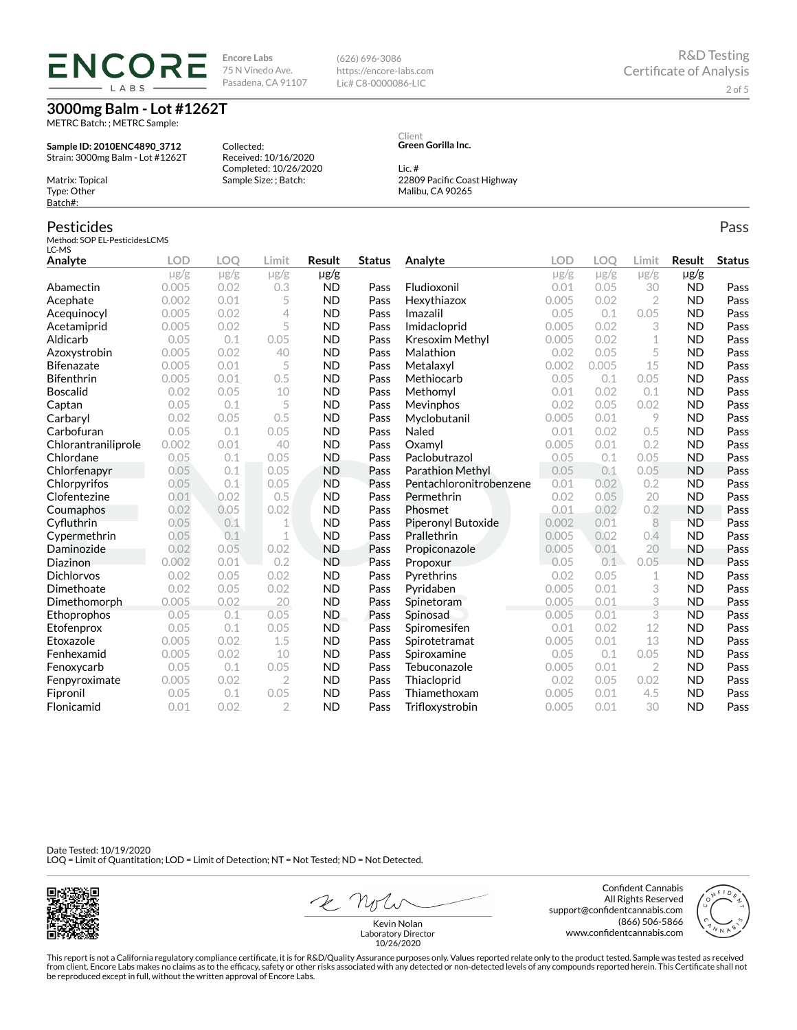ENCORE LABS

**Encore Labs** 75 N Vinedo Ave. Pasadena, CA 91107

Collected:

Received: 10/16/2020 Completed: 10/26/2020 Sample Size: ; Batch:

**3000mg Balm - Lot #1262T**

METRC Batch: ; METRC Sample:

**Sample ID: 2010ENC4890\_3712** Strain: 3000mg Balm - Lot #1262T

Matrix: Topical Type: Other Batch#:

#### Pesticides

Method: SOP EL-PesticidesLCMS LC-MS

#### **Analyte LOD LOQ Limit Result Status**  $\mu$ g/g  $\mu$ g/g  $\mu$ g/g  $\mu$ g/g Abamectin 0.005 0.02 0.3 ND Pass Acephate 0.002 0.01 5 ND Pass Acequinocyl 0.005 0.02 4 ND Pass Acetamiprid 0.005 0.02 5 ND Pass Aldicarb 0.05 0.1 0.05 ND Pass Azoxystrobin 0.005 0.02 40 ND Pass Bifenazate 0.005 0.01 5 ND Pass Bifenthrin 0.005 0.01 0.5 ND Pass **Boscalid** 0.02 0.05 10 **ND Pass Captan**  $0.05$   $0.1$  5 **ND Pass Carbaryl 0.02 0.05 0.5 ND Pass** Carbofuran 0.05 0.1 0.05 ND Pass Chlorantraniliprole 0.002 0.01 40 ND Pass Chlordane 0.05 0.1 0.05 ND Pass Chlorfenapyr 0.05 0.1 0.05 ND Pass Chlorpyrifos 0.05 0.1 0.05 ND Pass Clofentezine 0.01 0.02 0.5 ND Pass Coumaphos 0.02 0.05 0.02 ND Pass  $Cyfluthrin$   $0.05$   $0.1$   $1$   $ND$  Pass Cypermethrin 0.05 0.1 1 ND Pass Daminozide 0.02 0.05 0.02 ND Pass Diazinon 0.002 0.01 0.2 ND Pass Dichlorvos 0.02 0.05 0.02 ND Pass Dimethoate 0.02 0.05 0.02 ND Pass Dimethomorph 0.005 0.02 20 ND Pass Ethoprophos 0.05 0.1 0.05 ND Pass Etofenprox 0.05 0.1 0.05 ND Pass Etoxazole 0.005 0.02 1.5 ND Pass Fenhexamid 0.005 0.02 10 ND Pass Fenoxycarb 0.05 0.1 0.05 ND Pass Fenpyroximate 0.005 0.02 2 ND Pass Fipronil 0.05 0.1 0.05 ND Pass Flonicamid 0.01 0.02 2 ND Pass **Analyte LOD LOQ Limit Result Status**  $\mu$ g/g  $\mu$ g/g  $\mu$ g/g  $\mu$ g/g Fludioxonil 0.01 0.05 30 ND Pass Hexythiazox 0.005 0.02 2 ND Pass **Imazalil 11 0.05 0.1 0.05 ND Pass** Imidacloprid 0.005 0.02 3 ND Pass Kresoxim Methyl  $0.005$  0.02 1 ND Pass **Malathion** 0.02 0.05 5 **ND Pass** Metalaxyl 0.002 0.005 15 ND Pass Methiocarb 0.05 0.1 0.05 ND Pass Methomyl 0.01 0.02 0.1 ND Pass Mevinphos 0.02 0.05 0.02 ND Pass Myclobutanil 0.005 0.01 9 ND Pass **Naled 1200 0.01 0.02 0.5 ND Pass Oxamyl** 0.005 0.01 0.2 **ND Pass** Paclobutrazol 0.05 0.1 0.05 ND Pass Parathion Methyl 0.05 0.1 0.05 ND Pass Pentachloronitrobenzene 0.01 0.02 0.2 ND Pass Permethrin 0.02 0.05 20 ND Pass **Phosmet** 0.01 0.02 0.2 **ND Pass** Piperonyl Butoxide 0.002 0.01 8 ND Pass Prallethrin 0.005 0.02 0.4 ND Pass Propiconazole 0.005 0.01 20 ND Pass **Propoxur 1988 0.05 0.1 0.05 ND Pass** Pyrethrins 0.02 0.05 1 ND Pass Pyridaben 0.005 0.01 3 ND Pass Spinetoram 0.005 0.01 3 ND Pass Spinosad 0.005 0.01 3 ND Pass Spiromesifen 0.01 0.02 12 ND Pass Spirotetramat 0.005 0.01 13 ND Pass Spiroxamine 0.05 0.1 0.05 ND Pass Tebuconazole 0.005 0.01 2 ND Pass Thiacloprid 0.02 0.05 0.02 ND Pass Thiamethoxam 0.005 0.01 4.5 ND Pass Trifloxystrobin 0.005 0.01 30 ND Pass

Date Tested: 10/19/2020 LOQ = Limit of Quantitation; LOD = Limit of Detection; NT = Not Tested; ND = Not Detected.



2 not

Confident Cannabis All Rights Reserved support@confidentcannabis.com (866) 506-5866 www.confidentcannabis.com



(626) 696-3086 https://encore-labs.com Lic# C8-0000086-LIC

Client

Lic. #

**Green Gorilla Inc.**

22809 Pacific Coast Highway Malibu, CA 90265

R&D Testing Certificate of Analysis 2 of 5

This report is not a California regulatory compliance certificate, it is for R&D/Quality Assurance purposes only. Values reported relate only to the product tested. Sample was tested as received from client. Encore Labs makes no claims as to the efficacy, safety or other risks associated with any detected or non-detected levels of any compounds reported herein. This Certificate shall not be reproduced except in full, without the written approval of Encore Labs.

Kevin Nolan Laboratory Director 10/26/2020

Pass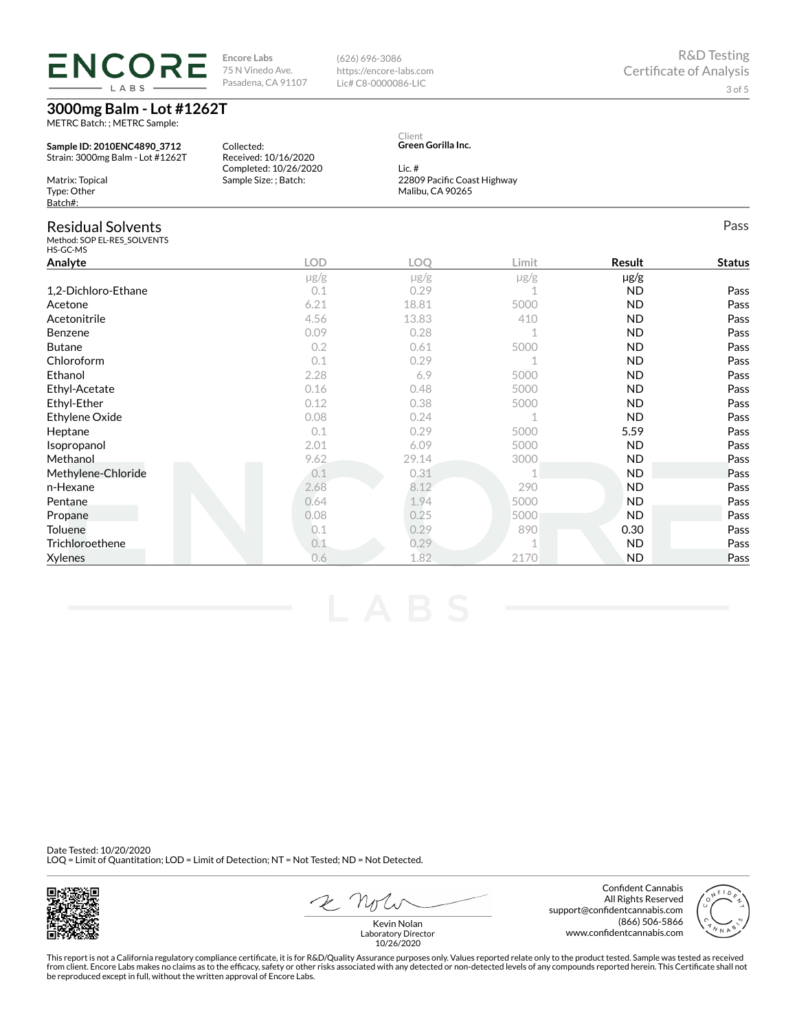**ENCORE Encore Labs** 75 N Vinedo Ave. Pasadena, CA 91107

Collected:

**3000mg Balm - Lot #1262T**

LABS

METRC Batch: ; METRC Sample:

**Sample ID: 2010ENC4890\_3712** Strain: 3000mg Balm

### Residual Solv

Matrix: Topical Type: Other Batch#:

Method: SOP EL-RES\_S HS-GC-MS

| າ - Lot #1262T           | Received: 10/16/2020<br>Completed: 10/26/2020<br>Sample Size: ; Batch: | Lic. $#$<br>22809 Pacific Coast Highway<br>Malibu, CA 90265 |
|--------------------------|------------------------------------------------------------------------|-------------------------------------------------------------|
| /ents<br><b>SOLVENTS</b> |                                                                        |                                                             |

**Analyte LOD LOQ Limit Result Status** µg/g µg/g µg/g µg/g 1,2-Dichloro-Ethane 0.1 0.29 1 ND Pass Acetone 6.21 18.81 5000 ND Pass Acetonitrile 4.56 13.83 410 ND Pass Benzene 0.09 0.28 1 ND Pass Butane 0.2 0.61 5000 ND Pass  $0.1$  0.29 1 ND Pass Ethanol 2.28 6.9 5000 ND Pass Ethyl-Acetate 0.16 0.48 5000 ND Pass Ethyl-Ether 0.12 0.38 5000 ND Pass Ethylene Oxide 0.08 0.24 1 ND Pass **Heptane 1.1 Heptane** 1.1 **Constant 1.1 Constant 1.1 Constant 1.1 Constant 1.1 Constant 1.1 Constant 1.1 Constant 1.1 Constant 1.1 Constant 1.1 Constant 1.1 Constant 1.1 Constant 1.1 Constant 1.1** Isopropanol 2.01 6.09 5000 ND Pass Methanol 9.62 29.14 3000 ND Pass Methylene-Chloride 0.1 0.31 1 ND Pass n-Hexane 2.68 8.12 2.90 ND Pass **Pentane 2.1.94 5000 ND Pass Propane 2.08 5000 ND Pass Toluene 0.29 890 0.30 Pass** Trichloroethene 0.1 0.29 1 ND Pass

Xylenes 0.6 1.82 2170 ND Pass

(626) 696-3086 https://encore-labs.com Lic# C8-0000086-LIC

> Client **Green Gorilla Inc.**

Date Tested: 10/20/2020 LOQ = Limit of Quantitation; LOD = Limit of Detection; NT = Not Tested; ND = Not Detected.



2 Note

Confident Cannabis All Rights Reserved support@confidentcannabis.com (866) 506-5866 www.confidentcannabis.com



Kevin Nolan Laboratory Director

This report is not a California regulatory compliance certificate, it is for R&D/Quality Assurance purposes only. Values reported relate only to the product tested. Sample was tested as received from client. Encore Labs makes no claims as to the efficacy, safety or other risks associated with any detected or non-detected levels of any compounds reported herein. This Certificate shall not be reproduced except in full, without the written approval of Encore Labs. 10/26/2020

Pass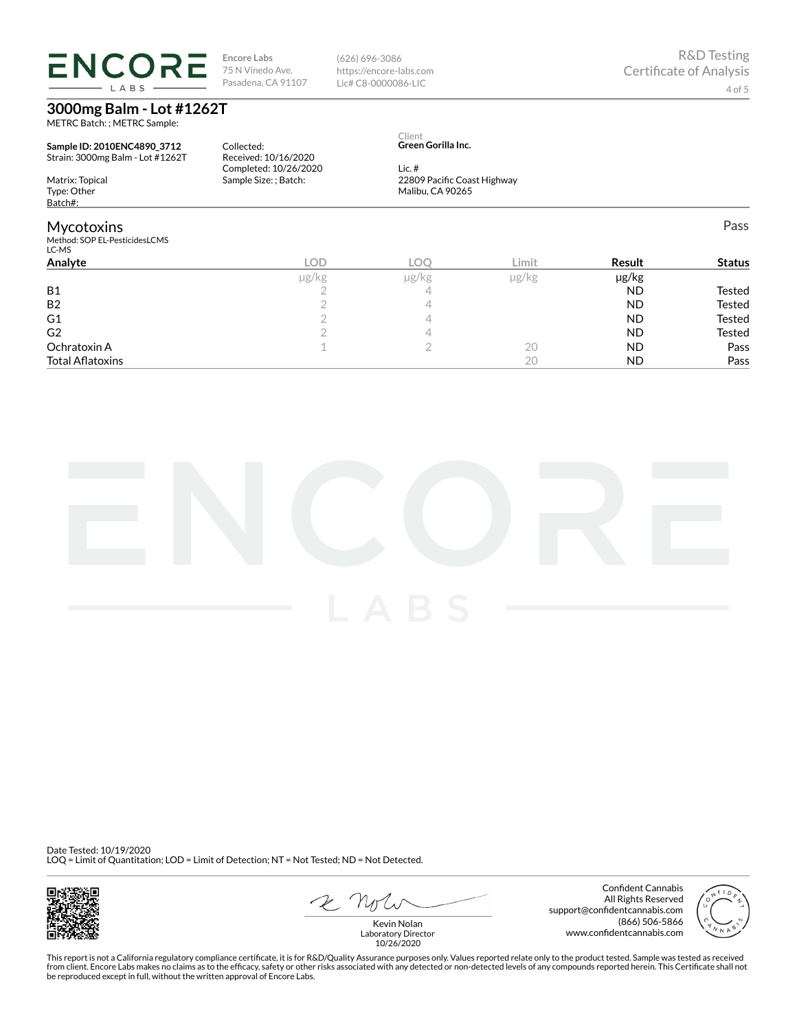**Encore Labs** 75 N Vinedo Ave. Pasadena, CA 91107

**3000mg Balm - Lot #1262T**

**ENCORE** LABS

METRC Batch: ; METRC Sample:

| Sample ID: 2010ENC4890 3712<br>Strain: 3000mg Balm - Lot #1262T | Collected:<br>Received: 10/16/2020             | Client<br>Green Gorilla Inc.                                |       |            |               |  |
|-----------------------------------------------------------------|------------------------------------------------|-------------------------------------------------------------|-------|------------|---------------|--|
| Matrix: Topical<br>Type: Other<br>Batch#:                       | Completed: 10/26/2020<br>Sample Size: ; Batch: | Lic. $#$<br>22809 Pacific Coast Highway<br>Malibu, CA 90265 |       |            |               |  |
| <b>Mycotoxins</b><br>Method: SOP EL-PesticidesLCMS<br>LC-MS     |                                                |                                                             |       |            | Pass          |  |
| Analyte                                                         | LOD                                            | <b>LOO</b>                                                  | Limit | Result     | <b>Status</b> |  |
|                                                                 | µg/kg                                          | µg/kg                                                       | µg/kg | $\mu$ g/kg |               |  |
| <b>B1</b>                                                       | 2                                              | 4                                                           |       | <b>ND</b>  | Tested        |  |
| B <sub>2</sub>                                                  | $\overline{2}$                                 | 4                                                           |       | <b>ND</b>  | <b>Tested</b> |  |
| G1                                                              |                                                | 4                                                           |       | <b>ND</b>  | Tested        |  |
| G2                                                              |                                                | 4                                                           |       | <b>ND</b>  | <b>Tested</b> |  |
| Ochratoxin A                                                    |                                                | $\overline{2}$                                              | 20    | <b>ND</b>  | Pass          |  |
| <b>Total Aflatoxins</b>                                         |                                                |                                                             | 20    | <b>ND</b>  | Pass          |  |

(626) 696-3086 https://encore-labs.com Lic# C8-0000086-LIC

Date Tested: 10/19/2020 LOQ = Limit of Quantitation; LOD = Limit of Detection; NT = Not Tested; ND = Not Detected.



2 Note

Confident Cannabis All Rights Reserved support@confidentcannabis.com (866) 506-5866 www.confidentcannabis.com

This report is not a California regulatory compliance certificate, it is for R&D/Quality Assurance purposes only. Values reported relate only to the product tested. Sample was tested as received from client. Encore Labs makes no claims as to the efficacy, safety or other risks associated with any detected or non-detected levels of any compounds reported herein. This Certificate shall not<br>be reproduced except in fu

Kevin Nolan Laboratory Director 10/26/2020